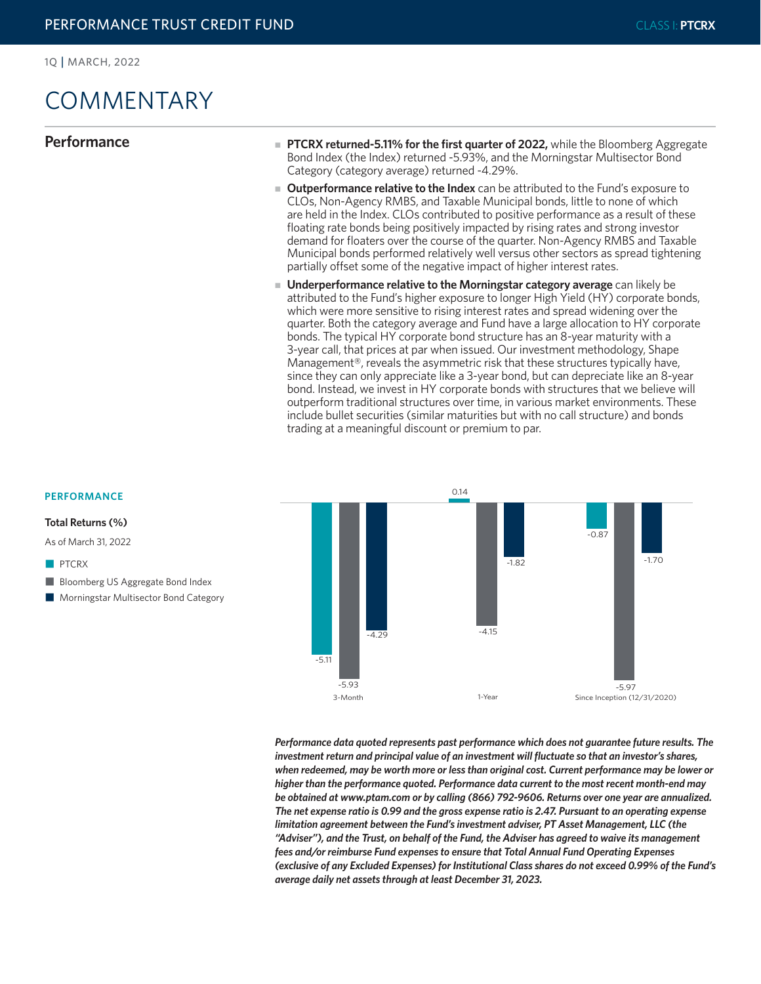# COMMENTARY

- **Performance EXEC REGON PROGREET PROPERTY FIGUREY PTCRX returned-5.11% for the first quarter of 2022,** while the Bloomberg Aggregate Bond Index (the Index) returned -5.93%, and the Morningstar Multisector Bond Category (category average) returned -4.29%.
	- **Outperformance relative to the Index** can be attributed to the Fund's exposure to CLOs, Non-Agency RMBS, and Taxable Municipal bonds, little to none of which are held in the Index. CLOs contributed to positive performance as a result of these floating rate bonds being positively impacted by rising rates and strong investor demand for floaters over the course of the quarter. Non-Agency RMBS and Taxable Municipal bonds performed relatively well versus other sectors as spread tightening partially offset some of the negative impact of higher interest rates.
	- **Underperformance relative to the Morningstar category average** can likely be attributed to the Fund's higher exposure to longer High Yield (HY) corporate bonds, which were more sensitive to rising interest rates and spread widening over the quarter. Both the category average and Fund have a large allocation to HY corporate bonds. The typical HY corporate bond structure has an 8-year maturity with a 3-year call, that prices at par when issued. Our investment methodology, Shape Management®, reveals the asymmetric risk that these structures typically have, since they can only appreciate like a 3-year bond, but can depreciate like an 8-year bond. Instead, we invest in HY corporate bonds with structures that we believe will outperform traditional structures over time, in various market environments. These include bullet securities (similar maturities but with no call structure) and bonds trading at a meaningful discount or premium to par.



*Performance data quoted represents past performance which does not guarantee future results. The investment return and principal value of an investment will fluctuate so that an investor's shares, when redeemed, may be worth more or less than original cost. Current performance may be lower or higher than the performance quoted. Performance data current to the most recent month-end may be obtained at www.ptam.com or by calling (866) 792-9606. Returns over one year are annualized. The net expense ratio is 0.99 and the gross expense ratio is 2.47. Pursuant to an operating expense limitation agreement between the Fund's investment adviser, PT Asset Management, LLC (the "Adviser"), and the Trust, on behalf of the Fund, the Adviser has agreed to waive its management fees and/or reimburse Fund expenses to ensure that Total Annual Fund Operating Expenses (exclusive of any Excluded Expenses) for Institutional Class shares do not exceed 0.99% of the Fund's average daily net assets through at least December 31, 2023.*

### **PERFORMANCE**

**Total Returns (%)** 

As of March 31, 2022

- **n** PTCRX
- **N** Bloomberg US Aggregate Bond Index
- Morningstar Multisector Bond Category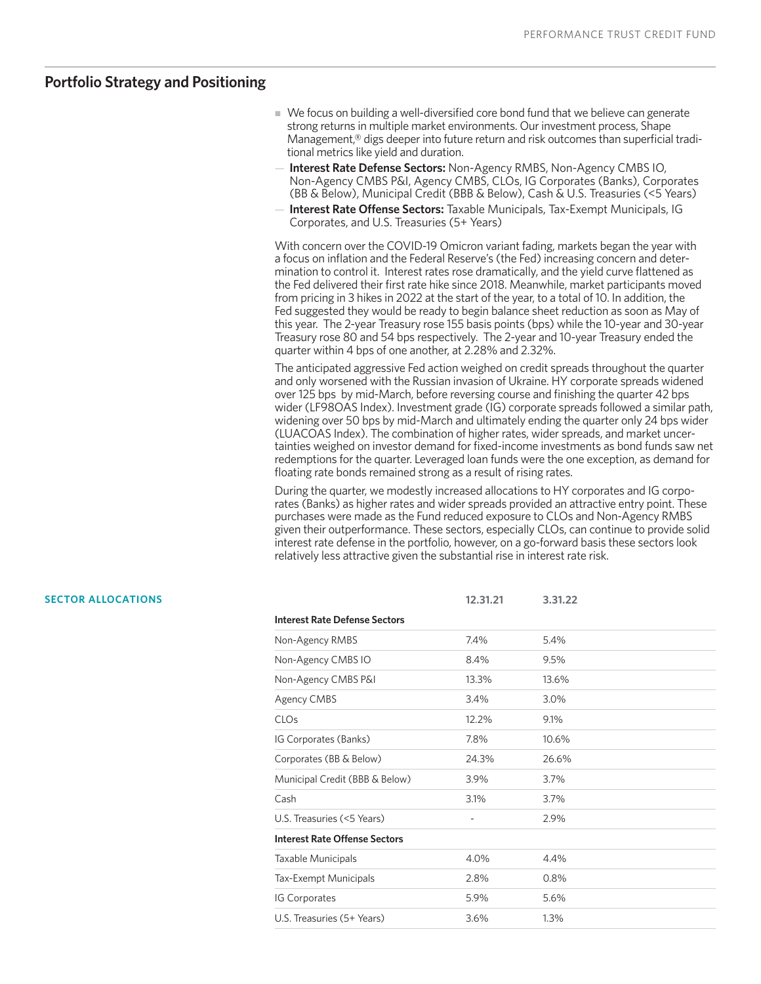# **Portfolio Strategy and Positioning**

- $\blacksquare$  We focus on building a well-diversified core bond fund that we believe can generate strong returns in multiple market environments. Our investment process, Shape Management,® digs deeper into future return and risk outcomes than superficial traditional metrics like yield and duration.
- **Interest Rate Defense Sectors:** Non-Agency RMBS, Non-Agency CMBS IO, Non-Agency CMBS P&I, Agency CMBS, CLOs, IG Corporates (Banks), Corporates (BB & Below), Municipal Credit (BBB & Below), Cash & U.S. Treasuries (<5 Years)
- **Interest Rate Offense Sectors:** Taxable Municipals, Tax-Exempt Municipals, IG Corporates, and U.S. Treasuries (5+ Years)

With concern over the COVID-19 Omicron variant fading, markets began the year with a focus on inflation and the Federal Reserve's (the Fed) increasing concern and determination to control it. Interest rates rose dramatically, and the yield curve flattened as the Fed delivered their first rate hike since 2018. Meanwhile, market participants moved from pricing in 3 hikes in 2022 at the start of the year, to a total of 10. In addition, the Fed suggested they would be ready to begin balance sheet reduction as soon as May of this year. The 2-year Treasury rose 155 basis points (bps) while the 10-year and 30-year Treasury rose 80 and 54 bps respectively. The 2-year and 10-year Treasury ended the quarter within 4 bps of one another, at 2.28% and 2.32%.

The anticipated aggressive Fed action weighed on credit spreads throughout the quarter and only worsened with the Russian invasion of Ukraine. HY corporate spreads widened over 125 bps by mid-March, before reversing course and finishing the quarter 42 bps wider (LF98OAS Index). Investment grade (IG) corporate spreads followed a similar path, widening over 50 bps by mid-March and ultimately ending the quarter only 24 bps wider (LUACOAS Index). The combination of higher rates, wider spreads, and market uncertainties weighed on investor demand for fixed-income investments as bond funds saw net redemptions for the quarter. Leveraged loan funds were the one exception, as demand for floating rate bonds remained strong as a result of rising rates.

During the quarter, we modestly increased allocations to HY corporates and IG corporates (Banks) as higher rates and wider spreads provided an attractive entry point. These purchases were made as the Fund reduced exposure to CLOs and Non-Agency RMBS given their outperformance. These sectors, especially CLOs, can continue to provide solid interest rate defense in the portfolio, however, on a go-forward basis these sectors look relatively less attractive given the substantial rise in interest rate risk.

| <b>SECTOR ALLOCATIONS</b> |                                      | 12.31.21 | 3.31.22 |  |
|---------------------------|--------------------------------------|----------|---------|--|
|                           | <b>Interest Rate Defense Sectors</b> |          |         |  |
|                           | Non-Agency RMBS                      | 7.4%     | 5.4%    |  |
|                           | Non-Agency CMBS IO                   | 8.4%     | 9.5%    |  |
|                           | Non-Agency CMBS P&I                  | 13.3%    | 13.6%   |  |
|                           | Agency CMBS                          | 3.4%     | 3.0%    |  |
|                           | <b>CLOs</b>                          | 12.2%    | 9.1%    |  |
|                           | IG Corporates (Banks)                | 7.8%     | 10.6%   |  |
|                           | Corporates (BB & Below)              | 24.3%    | 26.6%   |  |
|                           | Municipal Credit (BBB & Below)       | 3.9%     | 3.7%    |  |
|                           | Cash                                 | 3.1%     | 3.7%    |  |
|                           | U.S. Treasuries (<5 Years)           |          | 2.9%    |  |
|                           | <b>Interest Rate Offense Sectors</b> |          |         |  |
|                           | Taxable Municipals                   | 4.0%     | 4.4%    |  |
|                           | Tax-Exempt Municipals                | 2.8%     | 0.8%    |  |
|                           | IG Corporates                        | 5.9%     | 5.6%    |  |
|                           | U.S. Treasuries (5+ Years)           | 3.6%     | 1.3%    |  |
|                           |                                      |          |         |  |